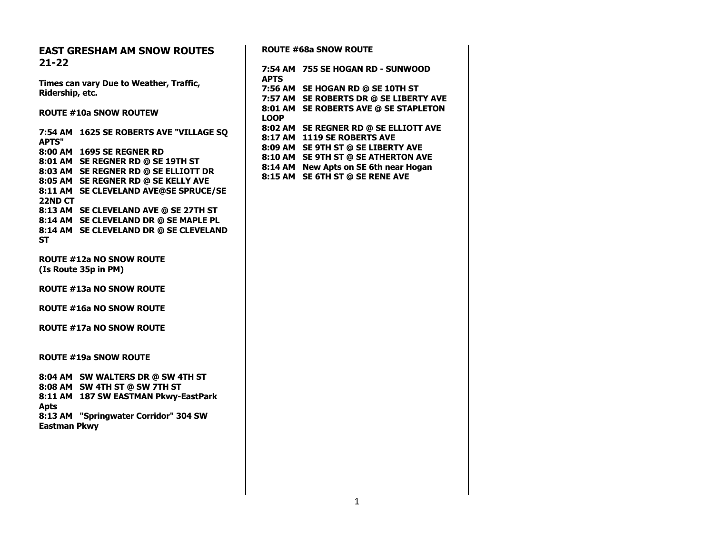| <b>EAST GRESHAM AM SNOW ROUTES</b>      |             | <b>ROUTE #68a SNOW ROUTE</b>                                               |
|-----------------------------------------|-------------|----------------------------------------------------------------------------|
| $21 - 22$                               |             |                                                                            |
|                                         |             | 7:54 AM 755 SE HOGAN RD - SUNWOOD                                          |
| Times can vary Due to Weather, Traffic, | <b>APTS</b> |                                                                            |
| Ridership, etc.                         |             | 7:56 AM SE HOGAN RD @ SE 10TH ST<br>7:57 AM SE ROBERTS DR @ SE LIBERTY AVE |
|                                         |             | 8:01 AM SE ROBERTS AVE @ SE STAPLETON                                      |
| <b>ROUTE #10a SNOW ROUTEW</b>           | <b>LOOP</b> |                                                                            |
|                                         |             | 8:02 AM SE REGNER RD @ SE ELLIOTT AVE                                      |
| 7:54 AM 1625 SE ROBERTS AVE "VILLAGE SQ |             | 8:17 AM 1119 SE ROBERTS AVE                                                |
| <b>APTS"</b>                            |             | 8:09 AM SE 9TH ST @ SE LIBERTY AVE                                         |
| 8:00 AM 1695 SE REGNER RD               |             | 8:10 AM SE 9TH ST @ SE ATHERTON AVE                                        |
| 8:01 AM SE REGNER RD @ SE 19TH ST       |             | 8:14 AM New Apts on SE 6th near Hogan                                      |
| 8:03 AM SE REGNER RD @ SE ELLIOTT DR    |             | 8:15 AM SE 6TH ST @ SE RENE AVE                                            |
| 8:05 AM SE REGNER RD @ SE KELLY AVE     |             |                                                                            |
| 8:11 AM SE CLEVELAND AVE@SE SPRUCE/SE   |             |                                                                            |
| 22ND CT                                 |             |                                                                            |
| 8:13 AM SE CLEVELAND AVE @ SE 27TH ST   |             |                                                                            |
| 8:14 AM SE CLEVELAND DR @ SE MAPLE PL   |             |                                                                            |
| 8:14 AM SE CLEVELAND DR @ SE CLEVELAND  |             |                                                                            |
| <b>ST</b>                               |             |                                                                            |
| <b>ROUTE #12a NO SNOW ROUTE</b>         |             |                                                                            |
| (Is Route 35p in PM)                    |             |                                                                            |
|                                         |             |                                                                            |
| <b>ROUTE #13a NO SNOW ROUTE</b>         |             |                                                                            |
|                                         |             |                                                                            |
| <b>ROUTE #16a NO SNOW ROUTE</b>         |             |                                                                            |
|                                         |             |                                                                            |
| <b>ROUTE #17a NO SNOW ROUTE</b>         |             |                                                                            |
|                                         |             |                                                                            |
|                                         |             |                                                                            |
| <b>ROUTE #19a SNOW ROUTE</b>            |             |                                                                            |
| 8:04 AM SW WALTERS DR @ SW 4TH ST       |             |                                                                            |
| 8:08 AM SW 4TH ST @ SW 7TH ST           |             |                                                                            |
| 8:11 AM 187 SW EASTMAN Pkwy-EastPark    |             |                                                                            |
| <b>Apts</b>                             |             |                                                                            |
| 8:13 AM "Springwater Corridor" 304 SW   |             |                                                                            |
| <b>Eastman Pkwy</b>                     |             |                                                                            |
|                                         |             |                                                                            |
|                                         |             |                                                                            |
|                                         |             |                                                                            |
|                                         |             |                                                                            |